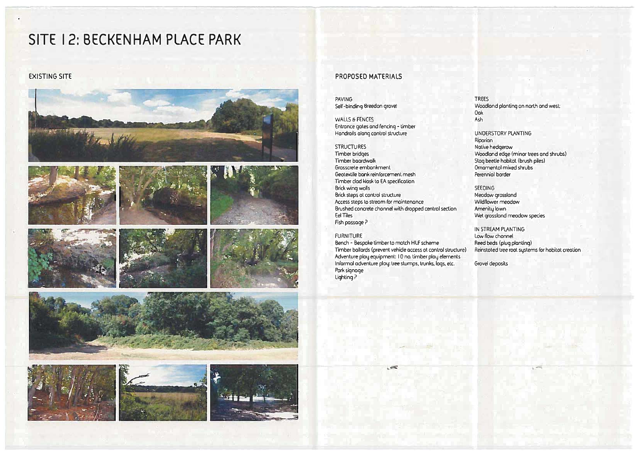## **SITE 12: BECKENHAM PLACE PARK**



## **EXISTING SITE** PROPOSED MATERIALS

| <b>PAVING</b>                                         |  |
|-------------------------------------------------------|--|
| Self-binding Breedon grove!                           |  |
| WALLS & FENCES                                        |  |
| Entrance gates and fencing - timber                   |  |
| Handrails alang control structure                     |  |
| <b>STRUCTURES</b>                                     |  |
| Timber bridges                                        |  |
| Timber boordwolk                                      |  |
| Grosscrete embonkment                                 |  |
| Geotextile bank reinforcement mesh                    |  |
| Timber clad kiosk to EA specification                 |  |
| <b>Brick wing wolls</b>                               |  |
| Brick steps at control structure                      |  |
| Access steps to stream for maintenance                |  |
| Brushed concrete chonnel with dropped centrol section |  |
| <b>Eel Tiles</b>                                      |  |
| Fish passage ?                                        |  |

SEEOING Meadow grossland Wildflower meadow Amenity lawn Wet grossland meodow species

FURNITURE

Bench - Bespoke timber to match H LF scheme Timber bollards (prevent vehicle access at control structure) Adventure play equipment: I 0 no. timber play elements Informal adventure play: tree stumps. trunks. logs. etc. Park signage Lighting?

=

## TREES

Woodland planting on north and west: Oak Ash

UNOERSTORY PLANTING Riparian Native hedgerow Woodland edge (minor trees and shrubs) Stag beetle habitat (brush piles) Omamental mixed shrubs Perennial border

IN STREAM PLANTING Low flow channel Reed beds (plug planting) Reinstated tree root systems for habitat creation

 $, =$ 

Grovel deposits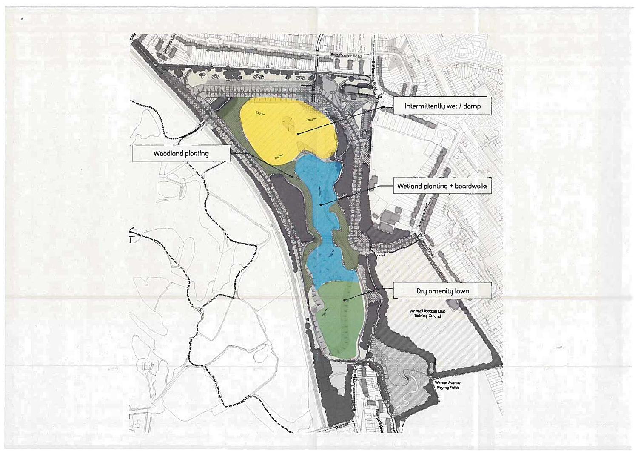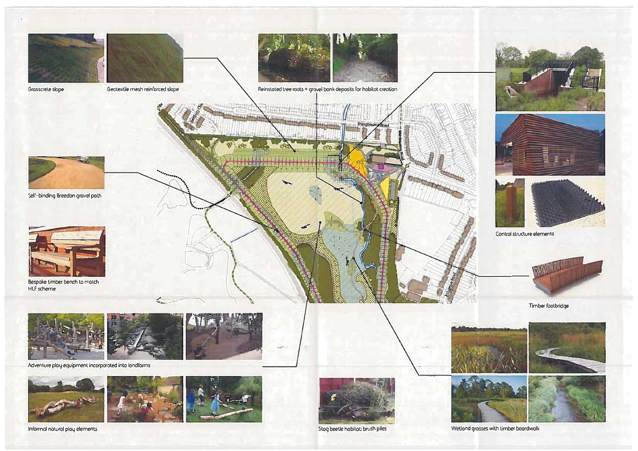







Adventure play equipment incorporated into londforms







Stog beetle hobitat: brush piles



Informal natural play elements



Wetland grasses with timber boardwalk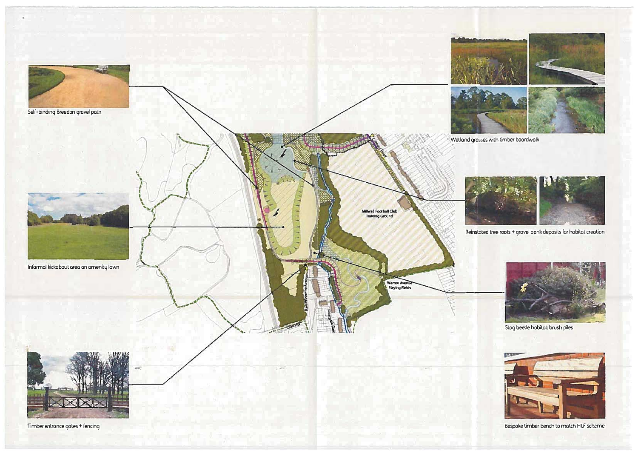

Timber entrance gates + fencing

Bespoke timber bench to match HLF scheme